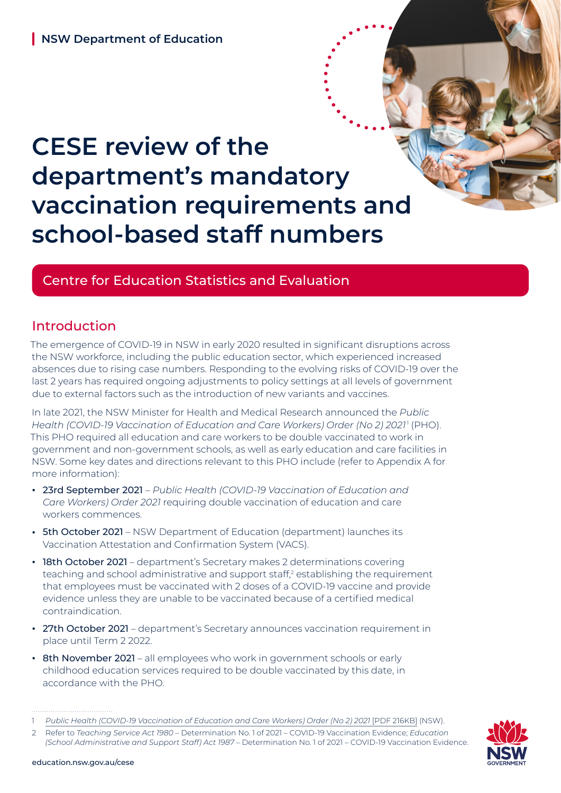# **CESE review of the department's mandatory vaccination requirements and school-based staff numbers**

# Centre for Education Statistics and Evaluation

# Introduction

The emergence of COVID-19 in NSW in early 2020 resulted in significant disruptions across the NSW workforce, including the public education sector, which experienced increased absences due to rising case numbers. Responding to the evolving risks of COVID-19 over the last 2 years has required ongoing adjustments to policy settings at all levels of government due to external factors such as the introduction of new variants and vaccines.

In late 2021, the NSW Minister for Health and Medical Research announced the *Public Health (COVID-19 Vaccination of Education and Care Workers) Order (No 2) 2021*<sup>1</sup> (PHO). This PHO required all education and care workers to be double vaccinated to work in government and non-government schools, as well as early education and care facilities in NSW. Some key dates and directions relevant to this PHO include (refer to Appendix A for more information):

- **•** 23rd September 2021 *Public Health (COVID-19 Vaccination of Education and Care Workers) Order 2021* requiring double vaccination of education and care workers commences.
- **•** 5th October 2021 NSW Department of Education (department) launches its Vaccination Attestation and Confirmation System (VACS).
- **•** 18th October 2021 department's Secretary makes 2 determinations covering teaching and school administrative and support staff,<sup>2</sup> establishing the requirement that employees must be vaccinated with 2 doses of a COVID-19 vaccine and provide evidence unless they are unable to be vaccinated because of a certified medical contraindication.
- **•** 27th October 2021 department's Secretary announces vaccination requirement in place until Term 2 2022.
- **•** 8th November 2021 all employees who work in government schools or early childhood education services required to be double vaccinated by this date, in accordance with the PHO.

<sup>2</sup> Refer to *Teaching Service Act 1980* – Determination No. 1 of 2021 – COVID-19 Vaccination Evidence; *Education (School Administrative and Support Staff) Act 1987* – Determination No. 1 of 2021 – COVID-19 Vaccination Evidence.



<sup>1</sup> *[Public Health \(COVID-19 Vaccination of Education and Care Workers\) Order \(No 2\) 2021](https://legislation.nsw.gov.au/file/Public Health (COVID-19 Vaccination of Education and Care Workers) Order 2021.pdf)* [PDF 216KB] (NSW).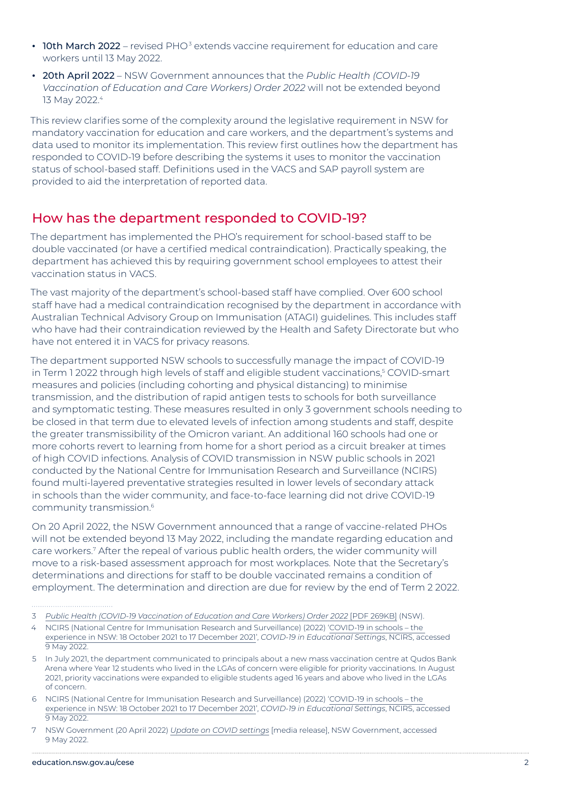- **10th March 2022** revised PHO<sup>3</sup> extends vaccine requirement for education and care workers until 13 May 2022.
- **•** 20th April 2022 NSW Government announces that the *Public Health (COVID-19 Vaccination of Education and Care Workers) Order 2022* will not be extended beyond 13 May 2022.4

This review clarifies some of the complexity around the legislative requirement in NSW for mandatory vaccination for education and care workers, and the department's systems and data used to monitor its implementation. This review first outlines how the department has responded to COVID-19 before describing the systems it uses to monitor the vaccination status of school-based staff. Definitions used in the VACS and SAP payroll system are provided to aid the interpretation of reported data.

## How has the department responded to COVID-19?

The department has implemented the PHO's requirement for school-based staff to be double vaccinated (or have a certified medical contraindication). Practically speaking, the department has achieved this by requiring government school employees to attest their vaccination status in VACS.

The vast majority of the department's school-based staff have complied. Over 600 school staff have had a medical contraindication recognised by the department in accordance with Australian Technical Advisory Group on Immunisation (ATAGI) guidelines. This includes staff who have had their contraindication reviewed by the Health and Safety Directorate but who have not entered it in VACS for privacy reasons.

The department supported NSW schools to successfully manage the impact of COVID-19 in Term 1 2022 through high levels of staff and eligible student vaccinations,<sup>s</sup> COVID-smart measures and policies (including cohorting and physical distancing) to minimise transmission, and the distribution of rapid antigen tests to schools for both surveillance and symptomatic testing. These measures resulted in only 3 government schools needing to be closed in that term due to elevated levels of infection among students and staff, despite the greater transmissibility of the Omicron variant. An additional 160 schools had one or more cohorts revert to learning from home for a short period as a circuit breaker at times of high COVID infections. Analysis of COVID transmission in NSW public schools in 2021 conducted by the National Centre for Immunisation Research and Surveillance (NCIRS) found multi-layered preventative strategies resulted in lower levels of secondary attack in schools than the wider community, and face-to-face learning did not drive COVID-19 community transmission.<sup>6</sup>

On 20 April 2022, the NSW Government announced that a range of vaccine-related PHOs will not be extended beyond 13 May 2022, including the mandate regarding education and care workers.<sup>7</sup> After the repeal of various public health orders, the wider community will move to a risk-based assessment approach for most workplaces. Note that the Secretary's determinations and directions for staff to be double vaccinated remains a condition of employment. The determination and direction are due for review by the end of Term 2 2022.

- 4 NCIRS (National Centre for Immunisation Research and Surveillance) (2022) '[COVID-19 in schools the](https://www.ncirs.org.au/covid-19-in-schools)  [experience in NSW: 18 October 2021 to 17 December 2021'](https://www.ncirs.org.au/covid-19-in-schools), *COVID-19 in Educational Settings*, NCIRS, accessed 9 May 2022.
- 5 In July 2021, the department communicated to principals about a new mass vaccination centre at Qudos Bank Arena where Year 12 students who lived in the LGAs of concern were eligible for priority vaccinations. In August 2021, priority vaccinations were expanded to eligible students aged 16 years and above who lived in the LGAs of concern.
- 6 NCIRS (National Centre for Immunisation Research and Surveillance) (2022) '[COVID-19 in schools the](https://www.ncirs.org.au/covid-19-in-schools)  [experience in NSW: 18 October 2021 to 17 December 2021'](https://www.ncirs.org.au/covid-19-in-schools), *COVID-19 in Educational Settings*, NCIRS, accessed 9 May 2022.

<sup>3</sup> *[Public Health \(COVID-19 Vaccination of Education and Care Workers\) Order 2022](https://legislation.nsw.gov.au/file/Public Health (COVID-19 Vaccination of Education and Care Workers) Order 2022.pdf)* [PDF 269KB] (NSW).

<sup>7</sup> NSW Government (20 April 2022) *[Update on COVID settings](https://www.nsw.gov.au/media-releases/nsw-covid-update-april-2022)* [media release], NSW Government, accessed 9 May 2022.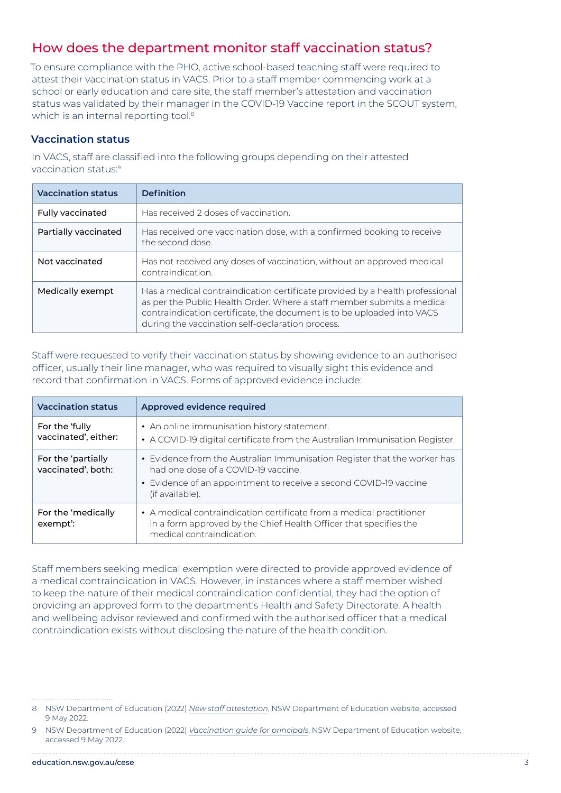# How does the department monitor staff vaccination status?

To ensure compliance with the PHO, active school-based teaching staff were required to attest their vaccination status in VACS. Prior to a staff member commencing work at a school or early education and care site, the staff member's attestation and vaccination status was validated by their manager in the COVID-19 Vaccine report in the SCOUT system, which is an internal reporting tool.<sup>8</sup>

#### **Vaccination status**

In VACS, staff are classified into the following groups depending on their attested vaccination status:9

| <b>Vaccination status</b> | <b>Definition</b>                                                                                                                                                                                                                                                                    |
|---------------------------|--------------------------------------------------------------------------------------------------------------------------------------------------------------------------------------------------------------------------------------------------------------------------------------|
| <b>Fully vaccinated</b>   | Has received 2 doses of vaccination.                                                                                                                                                                                                                                                 |
| Partially vaccinated      | Has received one vaccination dose, with a confirmed booking to receive<br>the second dose.                                                                                                                                                                                           |
| Not vaccinated            | Has not received any doses of vaccination, without an approved medical<br>contraindication                                                                                                                                                                                           |
| Medically exempt          | Has a medical contraindication certificate provided by a health professional<br>as per the Public Health Order. Where a staff member submits a medical<br>contraindication certificate, the document is to be uploaded into VACS<br>during the vaccination self-declaration process. |

Staff were requested to verify their vaccination status by showing evidence to an authorised officer, usually their line manager, who was required to visually sight this evidence and record that confirmation in VACS. Forms of approved evidence include:

| <b>Vaccination status</b>                | Approved evidence required                                                                                                                                                                              |
|------------------------------------------|---------------------------------------------------------------------------------------------------------------------------------------------------------------------------------------------------------|
| For the 'fully<br>vaccinated', either:   | • An online immunisation history statement.<br>• A COVID-19 digital certificate from the Australian Immunisation Register.                                                                              |
| For the 'partially<br>vaccinated', both: | • Evidence from the Australian Immunisation Register that the worker has<br>had one dose of a COVID-19 vaccine.<br>• Evidence of an appointment to receive a second COVID-19 vaccine<br>(if available). |
| For the 'medically<br>exempt':           | • A medical contraindication certificate from a medical practitioner<br>in a form approved by the Chief Health Officer that specifies the<br>medical contraindication.                                  |

Staff members seeking medical exemption were directed to provide approved evidence of a medical contraindication in VACS. However, in instances where a staff member wished to keep the nature of their medical contraindication confidential, they had the option of providing an approved form to the department's Health and Safety Directorate. A health and wellbeing advisor reviewed and confirmed with the authorised officer that a medical contraindication exists without disclosing the nature of the health condition.

<sup>8</sup> NSW Department of Education (2022) *[New staff attestation](https://education.nsw.gov.au/inside-the-department/covid-19/vaccinations/new-staff-attestation)*, NSW Department of Education website, accessed 9 May 2022.

<sup>9</sup> NSW Department of Education (2022) *[Vaccination guide for principals](https://education.nsw.gov.au/inside-the-department/covid-19/vaccinations/vaccination-guide-for-principals)*, NSW Department of Education website, accessed 9 May 2022.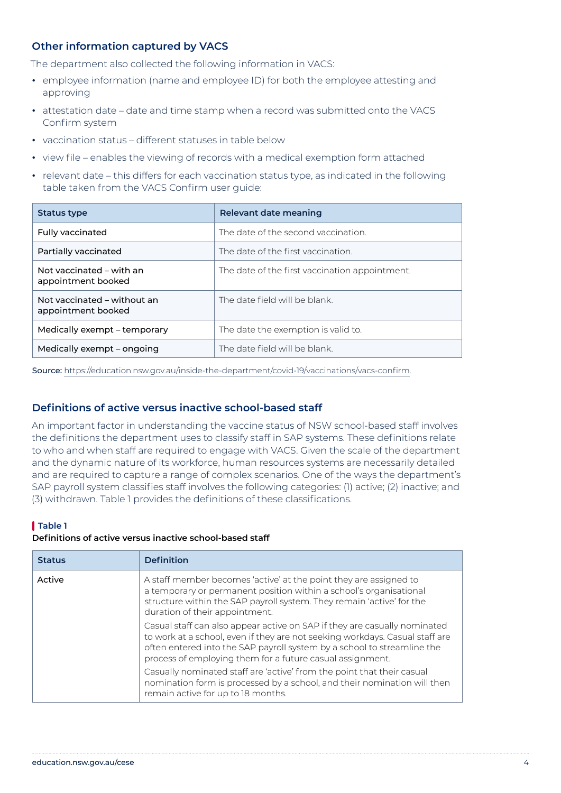#### **Other information captured by VACS**

The department also collected the following information in VACS:

- **•** employee information (name and employee ID) for both the employee attesting and approving
- **•** attestation date date and time stamp when a record was submitted onto the VACS Confirm system
- **•** vaccination status different statuses in table below
- **•** view file enables the viewing of records with a medical exemption form attached
- **•** relevant date this differs for each vaccination status type, as indicated in the following table taken from the VACS Confirm user guide:

| Status type                                       | Relevant date meaning                          |
|---------------------------------------------------|------------------------------------------------|
| <b>Fully vaccinated</b>                           | The date of the second vaccination.            |
| Partially vaccinated                              | The date of the first vaccination.             |
| Not vaccinated – with an<br>appointment booked    | The date of the first vaccination appointment. |
| Not vaccinated – without an<br>appointment booked | The date field will be blank                   |
| Medically exempt – temporary                      | The date the exemption is valid to.            |
| Medically exempt – ongoing                        | The date field will be blank.                  |

Source: <https://education.nsw.gov.au/inside-the-department/covid-19/vaccinations/vacs-confirm>.

#### **Definitions of active versus inactive school-based staff**

An important factor in understanding the vaccine status of NSW school-based staff involves the definitions the department uses to classify staff in SAP systems. These definitions relate to who and when staff are required to engage with VACS. Given the scale of the department and the dynamic nature of its workforce, human resources systems are necessarily detailed and are required to capture a range of complex scenarios. One of the ways the department's SAP payroll system classifies staff involves the following categories: (1) active; (2) inactive; and (3) withdrawn. Table 1 provides the definitions of these classifications.

#### **Table 1 Definitions of active versus inactive school-based staff**

| <b>Status</b> | <b>Definition</b>                                                                                                                                                                                                                                                                                 |
|---------------|---------------------------------------------------------------------------------------------------------------------------------------------------------------------------------------------------------------------------------------------------------------------------------------------------|
| Active        | A staff member becomes 'active' at the point they are assigned to<br>a temporary or permanent position within a school's organisational<br>structure within the SAP payroll system. They remain 'active' for the<br>duration of their appointment.                                                |
|               | Casual staff can also appear active on SAP if they are casually nominated<br>to work at a school, even if they are not seeking workdays. Casual staff are<br>often entered into the SAP payroll system by a school to streamline the<br>process of employing them for a future casual assignment. |
|               | Casually nominated staff are 'active' from the point that their casual<br>nomination form is processed by a school, and their nomination will then<br>remain active for up to 18 months.                                                                                                          |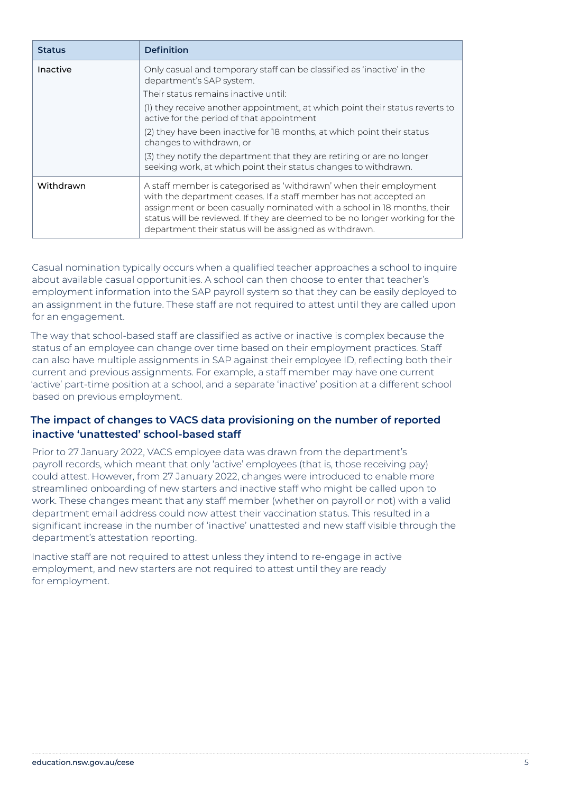| <b>Status</b> | <b>Definition</b>                                                                                                                                                                                                                                                                                                                                           |
|---------------|-------------------------------------------------------------------------------------------------------------------------------------------------------------------------------------------------------------------------------------------------------------------------------------------------------------------------------------------------------------|
| Inactive      | Only casual and temporary staff can be classified as 'inactive' in the<br>department's SAP system.<br>Their status remains inactive until:                                                                                                                                                                                                                  |
|               | (I) they receive another appointment, at which point their status reverts to<br>active for the period of that appointment                                                                                                                                                                                                                                   |
|               | (2) they have been inactive for 18 months, at which point their status<br>changes to withdrawn, or                                                                                                                                                                                                                                                          |
|               | (3) they notify the department that they are retiring or are no longer<br>seeking work, at which point their status changes to withdrawn.                                                                                                                                                                                                                   |
| Withdrawn     | A staff member is categorised as 'withdrawn' when their employment<br>with the department ceases. If a staff member has not accepted an<br>assignment or been casually nominated with a school in 18 months, their<br>status will be reviewed. If they are deemed to be no longer working for the<br>department their status will be assigned as withdrawn. |

Casual nomination typically occurs when a qualified teacher approaches a school to inquire about available casual opportunities. A school can then choose to enter that teacher's employment information into the SAP payroll system so that they can be easily deployed to an assignment in the future. These staff are not required to attest until they are called upon for an engagement.

The way that school-based staff are classified as active or inactive is complex because the status of an employee can change over time based on their employment practices. Staff can also have multiple assignments in SAP against their employee ID, reflecting both their current and previous assignments. For example, a staff member may have one current 'active' part-time position at a school, and a separate 'inactive' position at a different school based on previous employment.

#### **The impact of changes to VACS data provisioning on the number of reported inactive 'unattested' school-based staff**

Prior to 27 January 2022, VACS employee data was drawn from the department's payroll records, which meant that only 'active' employees (that is, those receiving pay) could attest. However, from 27 January 2022, changes were introduced to enable more streamlined onboarding of new starters and inactive staff who might be called upon to work. These changes meant that any staff member (whether on payroll or not) with a valid department email address could now attest their vaccination status. This resulted in a significant increase in the number of 'inactive' unattested and new staff visible through the department's attestation reporting.

Inactive staff are not required to attest unless they intend to re-engage in active employment, and new starters are not required to attest until they are ready for employment.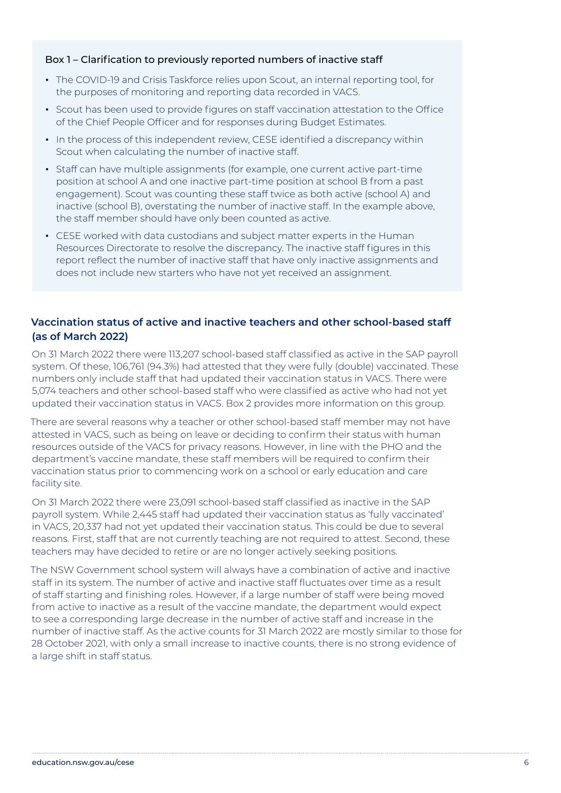#### Box 1 – Clarification to previously reported numbers of inactive staff

- **•** The COVID-19 and Crisis Taskforce relies upon Scout, an internal reporting tool, for the purposes of monitoring and reporting data recorded in VACS.
- **•** Scout has been used to provide figures on staff vaccination attestation to the Office of the Chief People Officer and for responses during Budget Estimates.
- **•** In the process of this independent review, CESE identified a discrepancy within Scout when calculating the number of inactive staff.
- **•** Staff can have multiple assignments (for example, one current active part-time position at school A and one inactive part-time position at school B from a past engagement). Scout was counting these staff twice as both active (school A) and inactive (school B), overstating the number of inactive staff. In the example above, the staff member should have only been counted as active.
- **•** CESE worked with data custodians and subject matter experts in the Human Resources Directorate to resolve the discrepancy. The inactive staff figures in this report reflect the number of inactive staff that have only inactive assignments and does not include new starters who have not yet received an assignment.

#### **Vaccination status of active and inactive teachers and other school-based staff (as of March 2022)**

On 31 March 2022 there were 113,207 school-based staff classified as active in the SAP payroll system. Of these, 106,761 (94.3%) had attested that they were fully (double) vaccinated. These numbers only include staff that had updated their vaccination status in VACS. There were 5,074 teachers and other school-based staff who were classified as active who had not yet updated their vaccination status in VACS. Box 2 provides more information on this group.

There are several reasons why a teacher or other school-based staff member may not have attested in VACS, such as being on leave or deciding to confirm their status with human resources outside of the VACS for privacy reasons. However, in line with the PHO and the department's vaccine mandate, these staff members will be required to confirm their vaccination status prior to commencing work on a school or early education and care facility site.

On 31 March 2022 there were 23,091 school-based staff classified as inactive in the SAP payroll system. While 2,445 staff had updated their vaccination status as 'fully vaccinated' in VACS, 20,337 had not yet updated their vaccination status. This could be due to several reasons. First, staff that are not currently teaching are not required to attest. Second, these teachers may have decided to retire or are no longer actively seeking positions.

The NSW Government school system will always have a combination of active and inactive staff in its system. The number of active and inactive staff fluctuates over time as a result of staff starting and finishing roles. However, if a large number of staff were being moved from active to inactive as a result of the vaccine mandate, the department would expect to see a corresponding large decrease in the number of active staff and increase in the number of inactive staff. As the active counts for 31 March 2022 are mostly similar to those for 28 October 2021, with only a small increase to inactive counts, there is no strong evidence of a large shift in staff status.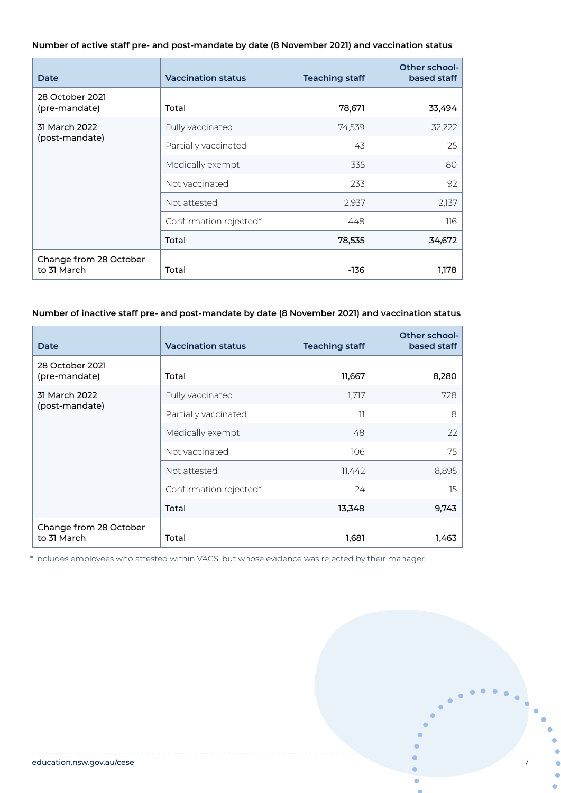#### **Number of active staff pre- and post-mandate by date (8 November 2021) and vaccination status**

| Date                                  | <b>Vaccination status</b> | <b>Teaching staff</b> | Other school-<br>based staff |
|---------------------------------------|---------------------------|-----------------------|------------------------------|
| 28 October 2021<br>(pre-mandate)      | Total                     | 78,671                | 33,494                       |
| 31 March 2022                         | Fully vaccinated          | 74,539                | 32,222                       |
| (post-mandate)                        | Partially vaccinated      | 43                    | 25                           |
|                                       | Medically exempt          | 335                   | 80                           |
|                                       | Not vaccinated            | 233                   | 92                           |
|                                       | Not attested              | 2,937                 | 2,137                        |
|                                       | Confirmation rejected*    | 448                   | 116                          |
|                                       | Total                     | 78,535                | 34,672                       |
| Change from 28 October<br>to 31 March | Total                     | -136                  | 1,178                        |

#### **Number of inactive staff pre- and post-mandate by date (8 November 2021) and vaccination status**

| Date                                  | <b>Vaccination status</b> | <b>Teaching staff</b> | Other school-<br>based staff |
|---------------------------------------|---------------------------|-----------------------|------------------------------|
| 28 October 2021<br>(pre-mandate)      | Total                     | 11,667                | 8,280                        |
| 31 March 2022                         | Fully vaccinated          | 1,717                 | 728                          |
| (post-mandate)                        | Partially vaccinated      | 11                    | 8                            |
|                                       | Medically exempt          | 48                    | 22                           |
|                                       | Not vaccinated            | 106                   | 75                           |
|                                       | Not attested              | 11,442                | 8,895                        |
|                                       | Confirmation rejected*    | 24                    | 15                           |
|                                       | Total                     | 13,348                | 9,743                        |
| Change from 28 October<br>to 31 March | Total                     | 1,681                 | 1,463                        |

\* Includes employees who attested within VACS, but whose evidence was rejected by their manager.

Ċ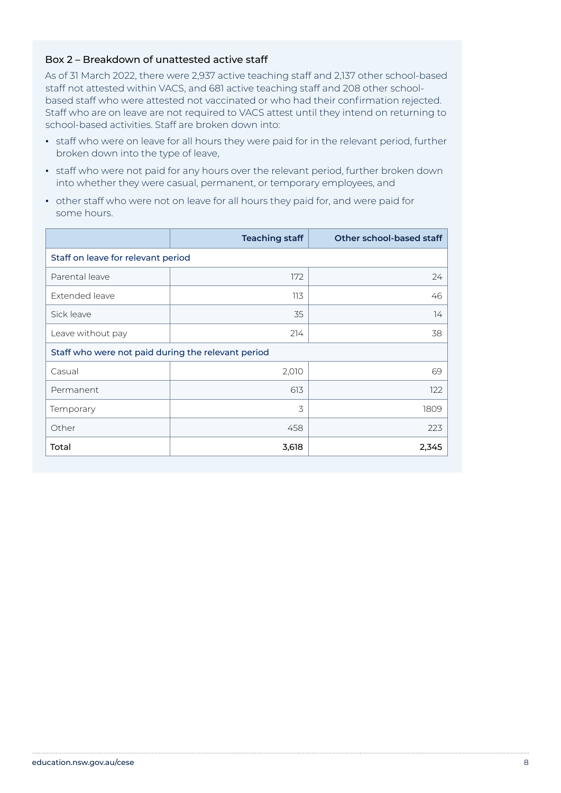#### Box 2 – Breakdown of unattested active staff

As of 31 March 2022, there were 2,937 active teaching staff and 2,137 other school-based staff not attested within VACS, and 681 active teaching staff and 208 other schoolbased staff who were attested not vaccinated or who had their confirmation rejected. Staff who are on leave are not required to VACS attest until they intend on returning to school-based activities. Staff are broken down into:

- **•** staff who were on leave for all hours they were paid for in the relevant period, further broken down into the type of leave,
- **•** staff who were not paid for any hours over the relevant period, further broken down into whether they were casual, permanent, or temporary employees, and
- **•** other staff who were not on leave for all hours they paid for, and were paid for some hours.

|                                                    | <b>Teaching staff</b> | Other school-based staff |
|----------------------------------------------------|-----------------------|--------------------------|
| Staff on leave for relevant period                 |                       |                          |
| Parental leave                                     | 172                   | 24                       |
| Extended leave                                     | 113                   | 46                       |
| Sick leave                                         | 35                    | 14                       |
| Leave without pay                                  | 214                   | 38                       |
| Staff who were not paid during the relevant period |                       |                          |
| Casual                                             | 2,010                 | 69                       |
| Permanent                                          | 613                   | 122                      |
| Temporary                                          | 3                     | 1809                     |
| Other                                              | 458                   | 223                      |
| Total                                              | 3,618                 | 2,345                    |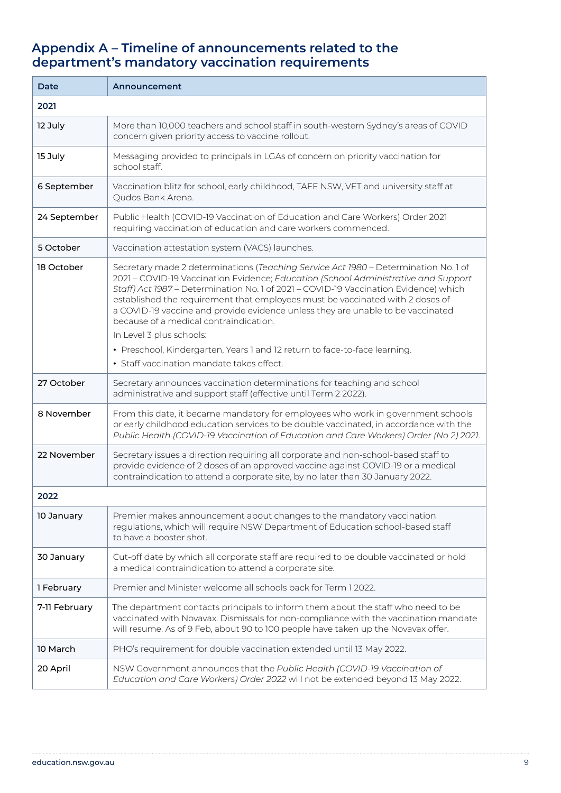## **Appendix A – Timeline of announcements related to the department's mandatory vaccination requirements**

| Date          | Announcement                                                                                                                                                                                                                                                                                                                                                                                                                                                                                               |
|---------------|------------------------------------------------------------------------------------------------------------------------------------------------------------------------------------------------------------------------------------------------------------------------------------------------------------------------------------------------------------------------------------------------------------------------------------------------------------------------------------------------------------|
| 2021          |                                                                                                                                                                                                                                                                                                                                                                                                                                                                                                            |
| 12 July       | More than 10,000 teachers and school staff in south-western Sydney's areas of COVID<br>concern given priority access to vaccine rollout.                                                                                                                                                                                                                                                                                                                                                                   |
| 15 July       | Messaging provided to principals in LGAs of concern on priority vaccination for<br>school staff.                                                                                                                                                                                                                                                                                                                                                                                                           |
| 6 September   | Vaccination blitz for school, early childhood, TAFE NSW, VET and university staff at<br>Qudos Bank Arena.                                                                                                                                                                                                                                                                                                                                                                                                  |
| 24 September  | Public Health (COVID-19 Vaccination of Education and Care Workers) Order 2021<br>requiring vaccination of education and care workers commenced.                                                                                                                                                                                                                                                                                                                                                            |
| 5 October     | Vaccination attestation system (VACS) launches.                                                                                                                                                                                                                                                                                                                                                                                                                                                            |
| 18 October    | Secretary made 2 determinations (Teaching Service Act 1980 - Determination No.1 of<br>2021 - COVID-19 Vaccination Evidence; Education (School Administrative and Support<br>Staff) Act 1987 - Determination No. 1 of 2021 - COVID-19 Vaccination Evidence) which<br>established the requirement that employees must be vaccinated with 2 doses of<br>a COVID-19 vaccine and provide evidence unless they are unable to be vaccinated<br>because of a medical contraindication.<br>In Level 3 plus schools: |
|               | • Preschool, Kindergarten, Years 1 and 12 return to face-to-face learning.<br>• Staff vaccination mandate takes effect.                                                                                                                                                                                                                                                                                                                                                                                    |
| 27 October    | Secretary announces vaccination determinations for teaching and school<br>administrative and support staff (effective until Term 2 2022).                                                                                                                                                                                                                                                                                                                                                                  |
| 8 November    | From this date, it became mandatory for employees who work in government schools<br>or early childhood education services to be double vaccinated, in accordance with the<br>Public Health (COVID-19 Vaccination of Education and Care Workers) Order (No 2) 2021.                                                                                                                                                                                                                                         |
| 22 November   | Secretary issues a direction requiring all corporate and non-school-based staff to<br>provide evidence of 2 doses of an approved vaccine against COVID-19 or a medical<br>contraindication to attend a corporate site, by no later than 30 January 2022.                                                                                                                                                                                                                                                   |
| 2022          |                                                                                                                                                                                                                                                                                                                                                                                                                                                                                                            |
| 10 January    | Premier makes announcement about changes to the mandatory vaccination<br>regulations, which will require NSW Department of Education school-based staff<br>to have a booster shot.                                                                                                                                                                                                                                                                                                                         |
| 30 January    | Cut-off date by which all corporate staff are required to be double vaccinated or hold<br>a medical contraindication to attend a corporate site.                                                                                                                                                                                                                                                                                                                                                           |
| 1 February    | Premier and Minister welcome all schools back for Term 1 2022.                                                                                                                                                                                                                                                                                                                                                                                                                                             |
| 7-11 February | The department contacts principals to inform them about the staff who need to be<br>vaccinated with Novavax. Dismissals for non-compliance with the vaccination mandate<br>will resume. As of 9 Feb, about 90 to 100 people have taken up the Novavax offer.                                                                                                                                                                                                                                               |
| 10 March      | PHO's requirement for double vaccination extended until 13 May 2022.                                                                                                                                                                                                                                                                                                                                                                                                                                       |
| 20 April      | NSW Government announces that the Public Health (COVID-19 Vaccination of<br>Education and Care Workers) Order 2022 will not be extended beyond 13 May 2022.                                                                                                                                                                                                                                                                                                                                                |